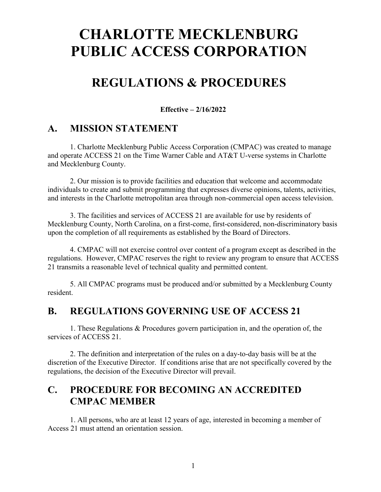# **CHARLOTTE MECKLENBURG PUBLIC ACCESS CORPORATION**

# **REGULATIONS & PROCEDURES**

**Effective – 2/16/2022**

#### **A. MISSION STATEMENT**

1. Charlotte Mecklenburg Public Access Corporation (CMPAC) was created to manage and operate ACCESS 21 on the Time Warner Cable and AT&T U-verse systems in Charlotte and Mecklenburg County.

2. Our mission is to provide facilities and education that welcome and accommodate individuals to create and submit programming that expresses diverse opinions, talents, activities, and interests in the Charlotte metropolitan area through non-commercial open access television.

3. The facilities and services of ACCESS 21 are available for use by residents of Mecklenburg County, North Carolina, on a first-come, first-considered, non-discriminatory basis upon the completion of all requirements as established by the Board of Directors.

4. CMPAC will not exercise control over content of a program except as described in the regulations. However, CMPAC reserves the right to review any program to ensure that ACCESS 21 transmits a reasonable level of technical quality and permitted content.

5. All CMPAC programs must be produced and/or submitted by a Mecklenburg County resident.

#### **B. REGULATIONS GOVERNING USE OF ACCESS 21**

1. These Regulations & Procedures govern participation in, and the operation of, the services of ACCESS 21.

2. The definition and interpretation of the rules on a day-to-day basis will be at the discretion of the Executive Director. If conditions arise that are not specifically covered by the regulations, the decision of the Executive Director will prevail.

#### **C. PROCEDURE FOR BECOMING AN ACCREDITED CMPAC MEMBER**

1. All persons, who are at least 12 years of age, interested in becoming a member of Access 21 must attend an orientation session.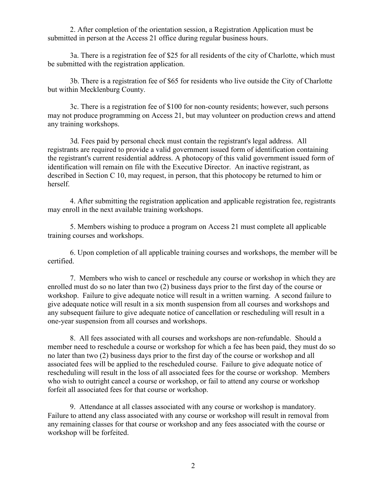2. After completion of the orientation session, a Registration Application must be submitted in person at the Access 21 office during regular business hours.

3a. There is a registration fee of \$25 for all residents of the city of Charlotte, which must be submitted with the registration application.

3b. There is a registration fee of \$65 for residents who live outside the City of Charlotte but within Mecklenburg County.

3c. There is a registration fee of \$100 for non-county residents; however, such persons may not produce programming on Access 21, but may volunteer on production crews and attend any training workshops.

3d. Fees paid by personal check must contain the registrant's legal address. All registrants are required to provide a valid government issued form of identification containing the registrant's current residential address. A photocopy of this valid government issued form of identification will remain on file with the Executive Director. An inactive registrant, as described in Section C 10, may request, in person, that this photocopy be returned to him or herself.

4. After submitting the registration application and applicable registration fee, registrants may enroll in the next available training workshops.

5. Members wishing to produce a program on Access 21 must complete all applicable training courses and workshops.

6. Upon completion of all applicable training courses and workshops, the member will be certified.

7. Members who wish to cancel or reschedule any course or workshop in which they are enrolled must do so no later than two (2) business days prior to the first day of the course or workshop. Failure to give adequate notice will result in a written warning. A second failure to give adequate notice will result in a six month suspension from all courses and workshops and any subsequent failure to give adequate notice of cancellation or rescheduling will result in a one-year suspension from all courses and workshops.

8. All fees associated with all courses and workshops are non-refundable. Should a member need to reschedule a course or workshop for which a fee has been paid, they must do so no later than two (2) business days prior to the first day of the course or workshop and all associated fees will be applied to the rescheduled course. Failure to give adequate notice of rescheduling will result in the loss of all associated fees for the course or workshop. Members who wish to outright cancel a course or workshop, or fail to attend any course or workshop forfeit all associated fees for that course or workshop.

9. Attendance at all classes associated with any course or workshop is mandatory. Failure to attend any class associated with any course or workshop will result in removal from any remaining classes for that course or workshop and any fees associated with the course or workshop will be forfeited.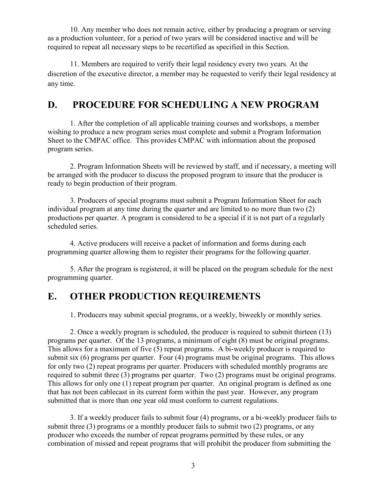10. Any member who does not remain active, either by producing a program or serving as a production volunteer, for a period of two years will be considered inactive and will be required to repeat all necessary steps to be recertified as specified in this Section.

11. Members are required to verify their legal residency every two years. At the discretion of the executive director, a member may be requested to verify their legal residency at any time.

### **D. PROCEDURE FOR SCHEDULING A NEW PROGRAM**

1. After the completion of all applicable training courses and workshops, a member wishing to produce a new program series must complete and submit a Program Information Sheet to the CMPAC office. This provides CMPAC with information about the proposed program series.

2. Program Information Sheets will be reviewed by staff, and if necessary, a meeting will be arranged with the producer to discuss the proposed program to insure that the producer is ready to begin production of their program.

3. Producers of special programs must submit a Program Information Sheet for each individual program at any time during the quarter and are limited to no more than two (2) productions per quarter. A program is considered to be a special if it is not part of a regularly scheduled series.

4. Active producers will receive a packet of information and forms during each programming quarter allowing them to register their programs for the following quarter.

5. After the program is registered, it will be placed on the program schedule for the next programming quarter.

#### **E. OTHER PRODUCTION REQUIREMENTS**

1. Producers may submit special programs, or a weekly, biweekly or monthly series.

2. Once a weekly program is scheduled, the producer is required to submit thirteen (13) programs per quarter. Of the 13 programs, a minimum of eight (8) must be original programs. This allows for a maximum of five (5) repeat programs. A bi-weekly producer is required to submit six (6) programs per quarter. Four (4) programs must be original programs. This allows for only two (2) repeat programs per quarter. Producers with scheduled monthly programs are required to submit three (3) programs per quarter. Two (2) programs must be original programs. This allows for only one (1) repeat program per quarter. An original program is defined as one that has not been cablecast in its current form within the past year. However, any program submitted that is more than one year old must conform to current regulations.

3. If a weekly producer fails to submit four (4) programs, or a bi-weekly producer fails to submit three (3) programs or a monthly producer fails to submit two (2) programs, or any producer who exceeds the number of repeat programs permitted by these rules, or any combination of missed and repeat programs that will prohibit the producer from submitting the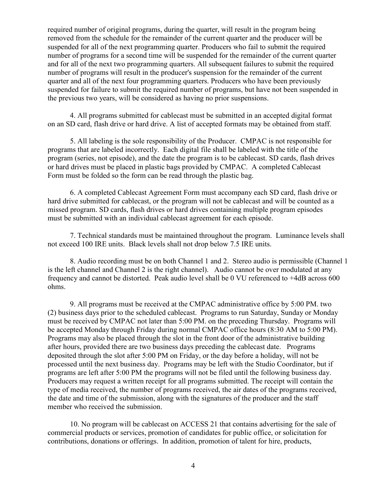required number of original programs, during the quarter, will result in the program being removed from the schedule for the remainder of the current quarter and the producer will be suspended for all of the next programming quarter. Producers who fail to submit the required number of programs for a second time will be suspended for the remainder of the current quarter and for all of the next two programming quarters. All subsequent failures to submit the required number of programs will result in the producer's suspension for the remainder of the current quarter and all of the next four programming quarters. Producers who have been previously suspended for failure to submit the required number of programs, but have not been suspended in the previous two years, will be considered as having no prior suspensions.

4. All programs submitted for cablecast must be submitted in an accepted digital format on an SD card, flash drive or hard drive. A list of accepted formats may be obtained from staff.

5. All labeling is the sole responsibility of the Producer. CMPAC is not responsible for programs that are labeled incorrectly. Each digital file shall be labeled with the title of the program (series, not episode), and the date the program is to be cablecast. SD cards, flash drives or hard drives must be placed in plastic bags provided by CMPAC. A completed Cablecast Form must be folded so the form can be read through the plastic bag.

6. A completed Cablecast Agreement Form must accompany each SD card, flash drive or hard drive submitted for cablecast, or the program will not be cablecast and will be counted as a missed program. SD cards, flash drives or hard drives containing multiple program episodes must be submitted with an individual cablecast agreement for each episode.

7. Technical standards must be maintained throughout the program. Luminance levels shall not exceed 100 IRE units. Black levels shall not drop below 7.5 IRE units.

8. Audio recording must be on both Channel 1 and 2. Stereo audio is permissible (Channel 1 is the left channel and Channel 2 is the right channel). Audio cannot be over modulated at any frequency and cannot be distorted. Peak audio level shall be 0 VU referenced to +4dB across 600 ohms.

9. All programs must be received at the CMPAC administrative office by 5:00 PM. two (2) business days prior to the scheduled cablecast. Programs to run Saturday, Sunday or Monday must be received by CMPAC not later than 5:00 PM. on the preceding Thursday. Programs will be accepted Monday through Friday during normal CMPAC office hours (8:30 AM to 5:00 PM). Programs may also be placed through the slot in the front door of the administrative building after hours, provided there are two business days preceding the cablecast date. Programs deposited through the slot after 5:00 PM on Friday, or the day before a holiday, will not be processed until the next business day. Programs may be left with the Studio Coordinator, but if programs are left after 5:00 PM the programs will not be filed until the following business day. Producers may request a written receipt for all programs submitted. The receipt will contain the type of media received, the number of programs received, the air dates of the programs received, the date and time of the submission, along with the signatures of the producer and the staff member who received the submission.

10. No program will be cablecast on ACCESS 21 that contains advertising for the sale of commercial products or services, promotion of candidates for public office, or solicitation for contributions, donations or offerings. In addition, promotion of talent for hire, products,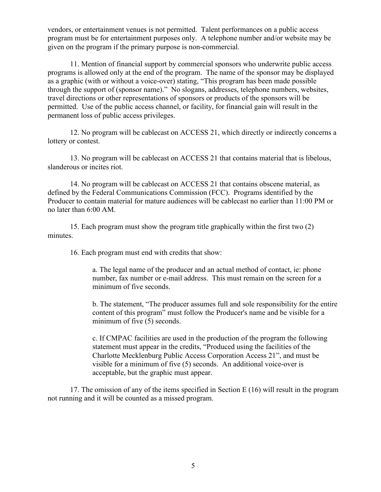vendors, or entertainment venues is not permitted. Talent performances on a public access program must be for entertainment purposes only. A telephone number and/or website may be given on the program if the primary purpose is non-commercial.

11. Mention of financial support by commercial sponsors who underwrite public access programs is allowed only at the end of the program. The name of the sponsor may be displayed as a graphic (with or without a voice-over) stating, "This program has been made possible through the support of (sponsor name)." No slogans, addresses, telephone numbers, websites, travel directions or other representations of sponsors or products of the sponsors will be permitted. Use of the public access channel, or facility, for financial gain will result in the permanent loss of public access privileges.

12. No program will be cablecast on ACCESS 21, which directly or indirectly concerns a lottery or contest.

13. No program will be cablecast on ACCESS 21 that contains material that is libelous, slanderous or incites riot.

14. No program will be cablecast on ACCESS 21 that contains obscene material, as defined by the Federal Communications Commission (FCC). Programs identified by the Producer to contain material for mature audiences will be cablecast no earlier than 11:00 PM or no later than 6:00 AM.

15. Each program must show the program title graphically within the first two (2) minutes.

16. Each program must end with credits that show:

a. The legal name of the producer and an actual method of contact, ie: phone number, fax number or e-mail address. This must remain on the screen for a minimum of five seconds.

b. The statement, "The producer assumes full and sole responsibility for the entire content of this program" must follow the Producer's name and be visible for a minimum of five (5) seconds.

c. If CMPAC facilities are used in the production of the program the following statement must appear in the credits, "Produced using the facilities of the Charlotte Mecklenburg Public Access Corporation Access 21", and must be visible for a minimum of five (5) seconds. An additional voice-over is acceptable, but the graphic must appear.

17. The omission of any of the items specified in Section E (16) will result in the program not running and it will be counted as a missed program.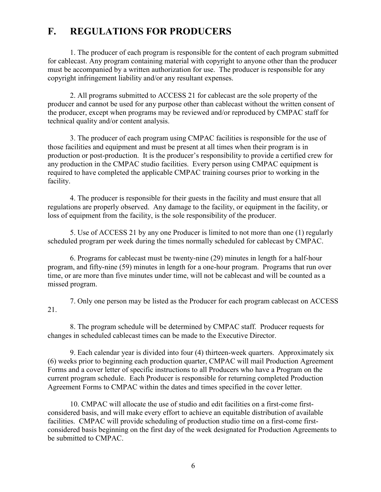## **F. REGULATIONS FOR PRODUCERS**

1. The producer of each program is responsible for the content of each program submitted for cablecast. Any program containing material with copyright to anyone other than the producer must be accompanied by a written authorization for use. The producer is responsible for any copyright infringement liability and/or any resultant expenses.

2. All programs submitted to ACCESS 21 for cablecast are the sole property of the producer and cannot be used for any purpose other than cablecast without the written consent of the producer, except when programs may be reviewed and/or reproduced by CMPAC staff for technical quality and/or content analysis.

3. The producer of each program using CMPAC facilities is responsible for the use of those facilities and equipment and must be present at all times when their program is in production or post-production. It is the producer's responsibility to provide a certified crew for any production in the CMPAC studio facilities. Every person using CMPAC equipment is required to have completed the applicable CMPAC training courses prior to working in the facility.

4. The producer is responsible for their guests in the facility and must ensure that all regulations are properly observed. Any damage to the facility, or equipment in the facility, or loss of equipment from the facility, is the sole responsibility of the producer.

5. Use of ACCESS 21 by any one Producer is limited to not more than one (1) regularly scheduled program per week during the times normally scheduled for cablecast by CMPAC.

6. Programs for cablecast must be twenty-nine (29) minutes in length for a half-hour program, and fifty-nine (59) minutes in length for a one-hour program. Programs that run over time, or are more than five minutes under time, will not be cablecast and will be counted as a missed program.

7. Only one person may be listed as the Producer for each program cablecast on ACCESS 21.

8. The program schedule will be determined by CMPAC staff. Producer requests for changes in scheduled cablecast times can be made to the Executive Director.

9. Each calendar year is divided into four (4) thirteen-week quarters. Approximately six (6) weeks prior to beginning each production quarter, CMPAC will mail Production Agreement Forms and a cover letter of specific instructions to all Producers who have a Program on the current program schedule. Each Producer is responsible for returning completed Production Agreement Forms to CMPAC within the dates and times specified in the cover letter.

10. CMPAC will allocate the use of studio and edit facilities on a first-come firstconsidered basis, and will make every effort to achieve an equitable distribution of available facilities. CMPAC will provide scheduling of production studio time on a first-come firstconsidered basis beginning on the first day of the week designated for Production Agreements to be submitted to CMPAC.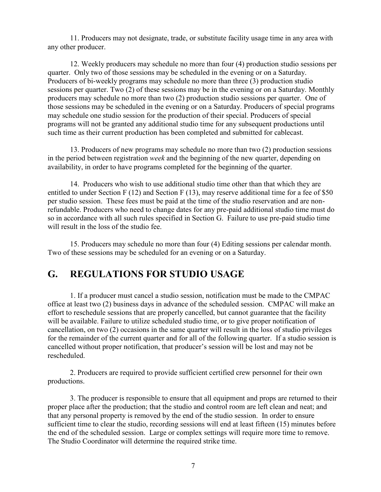11. Producers may not designate, trade, or substitute facility usage time in any area with any other producer.

12. Weekly producers may schedule no more than four (4) production studio sessions per quarter. Only two of those sessions may be scheduled in the evening or on a Saturday. Producers of bi-weekly programs may schedule no more than three (3) production studio sessions per quarter. Two (2) of these sessions may be in the evening or on a Saturday. Monthly producers may schedule no more than two (2) production studio sessions per quarter. One of those sessions may be scheduled in the evening or on a Saturday. Producers of special programs may schedule one studio session for the production of their special. Producers of special programs will not be granted any additional studio time for any subsequent productions until such time as their current production has been completed and submitted for cablecast.

13. Producers of new programs may schedule no more than two (2) production sessions in the period between registration *week* and the beginning of the new quarter, depending on availability, in order to have programs completed for the beginning of the quarter.

14. Producers who wish to use additional studio time other than that which they are entitled to under Section F (12) and Section F (13), may reserve additional time for a fee of \$50 per studio session. These fees must be paid at the time of the studio reservation and are nonrefundable. Producers who need to change dates for any pre-paid additional studio time must do so in accordance with all such rules specified in Section G. Failure to use pre-paid studio time will result in the loss of the studio fee.

15. Producers may schedule no more than four (4) Editing sessions per calendar month. Two of these sessions may be scheduled for an evening or on a Saturday.

#### **G. REGULATIONS FOR STUDIO USAGE**

1. If a producer must cancel a studio session, notification must be made to the CMPAC office at least two (2) business days in advance of the scheduled session. CMPAC will make an effort to reschedule sessions that are properly cancelled, but cannot guarantee that the facility will be available. Failure to utilize scheduled studio time, or to give proper notification of cancellation, on two (2) occasions in the same quarter will result in the loss of studio privileges for the remainder of the current quarter and for all of the following quarter. If a studio session is cancelled without proper notification, that producer's session will be lost and may not be rescheduled.

2. Producers are required to provide sufficient certified crew personnel for their own productions.

3. The producer is responsible to ensure that all equipment and props are returned to their proper place after the production; that the studio and control room are left clean and neat; and that any personal property is removed by the end of the studio session. In order to ensure sufficient time to clear the studio, recording sessions will end at least fifteen (15) minutes before the end of the scheduled session. Large or complex settings will require more time to remove. The Studio Coordinator will determine the required strike time.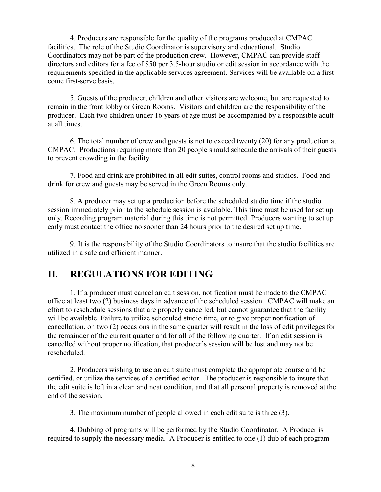4. Producers are responsible for the quality of the programs produced at CMPAC facilities. The role of the Studio Coordinator is supervisory and educational. Studio Coordinators may not be part of the production crew. However, CMPAC can provide staff directors and editors for a fee of \$50 per 3.5-hour studio or edit session in accordance with the requirements specified in the applicable services agreement. Services will be available on a firstcome first-serve basis.

5. Guests of the producer, children and other visitors are welcome, but are requested to remain in the front lobby or Green Rooms. Visitors and children are the responsibility of the producer. Each two children under 16 years of age must be accompanied by a responsible adult at all times.

6. The total number of crew and guests is not to exceed twenty (20) for any production at CMPAC. Productions requiring more than 20 people should schedule the arrivals of their guests to prevent crowding in the facility.

7. Food and drink are prohibited in all edit suites, control rooms and studios. Food and drink for crew and guests may be served in the Green Rooms only.

8. A producer may set up a production before the scheduled studio time if the studio session immediately prior to the schedule session is available. This time must be used for set up only. Recording program material during this time is not permitted. Producers wanting to set up early must contact the office no sooner than 24 hours prior to the desired set up time.

9. It is the responsibility of the Studio Coordinators to insure that the studio facilities are utilized in a safe and efficient manner.

#### **H. REGULATIONS FOR EDITING**

1. If a producer must cancel an edit session, notification must be made to the CMPAC office at least two (2) business days in advance of the scheduled session. CMPAC will make an effort to reschedule sessions that are properly cancelled, but cannot guarantee that the facility will be available. Failure to utilize scheduled studio time, or to give proper notification of cancellation, on two (2) occasions in the same quarter will result in the loss of edit privileges for the remainder of the current quarter and for all of the following quarter. If an edit session is cancelled without proper notification, that producer's session will be lost and may not be rescheduled.

2. Producers wishing to use an edit suite must complete the appropriate course and be certified, or utilize the services of a certified editor. The producer is responsible to insure that the edit suite is left in a clean and neat condition, and that all personal property is removed at the end of the session.

3. The maximum number of people allowed in each edit suite is three (3).

4. Dubbing of programs will be performed by the Studio Coordinator. A Producer is required to supply the necessary media. A Producer is entitled to one (1) dub of each program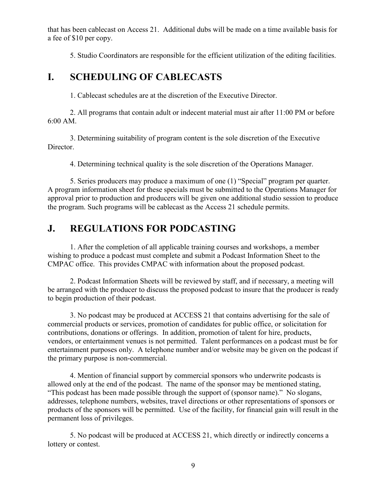that has been cablecast on Access 21. Additional dubs will be made on a time available basis for a fee of \$10 per copy.

5. Studio Coordinators are responsible for the efficient utilization of the editing facilities.

#### **I. SCHEDULING OF CABLECASTS**

1. Cablecast schedules are at the discretion of the Executive Director.

2. All programs that contain adult or indecent material must air after 11:00 PM or before 6:00 AM.

3. Determining suitability of program content is the sole discretion of the Executive Director.

4. Determining technical quality is the sole discretion of the Operations Manager.

5. Series producers may produce a maximum of one (1) "Special" program per quarter. A program information sheet for these specials must be submitted to the Operations Manager for approval prior to production and producers will be given one additional studio session to produce the program. Such programs will be cablecast as the Access 21 schedule permits.

# **J. REGULATIONS FOR PODCASTING**

1. After the completion of all applicable training courses and workshops, a member wishing to produce a podcast must complete and submit a Podcast Information Sheet to the CMPAC office. This provides CMPAC with information about the proposed podcast.

2. Podcast Information Sheets will be reviewed by staff, and if necessary, a meeting will be arranged with the producer to discuss the proposed podcast to insure that the producer is ready to begin production of their podcast.

3. No podcast may be produced at ACCESS 21 that contains advertising for the sale of commercial products or services, promotion of candidates for public office, or solicitation for contributions, donations or offerings. In addition, promotion of talent for hire, products, vendors, or entertainment venues is not permitted. Talent performances on a podcast must be for entertainment purposes only. A telephone number and/or website may be given on the podcast if the primary purpose is non-commercial.

4. Mention of financial support by commercial sponsors who underwrite podcasts is allowed only at the end of the podcast. The name of the sponsor may be mentioned stating, "This podcast has been made possible through the support of (sponsor name)." No slogans, addresses, telephone numbers, websites, travel directions or other representations of sponsors or products of the sponsors will be permitted. Use of the facility, for financial gain will result in the permanent loss of privileges.

5. No podcast will be produced at ACCESS 21, which directly or indirectly concerns a lottery or contest.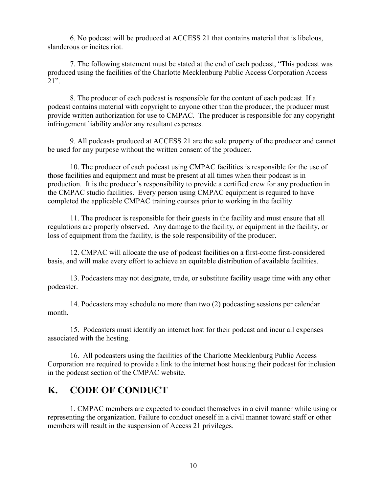6. No podcast will be produced at ACCESS 21 that contains material that is libelous, slanderous or incites riot.

7. The following statement must be stated at the end of each podcast, "This podcast was produced using the facilities of the Charlotte Mecklenburg Public Access Corporation Access 21".

8. The producer of each podcast is responsible for the content of each podcast. If a podcast contains material with copyright to anyone other than the producer, the producer must provide written authorization for use to CMPAC. The producer is responsible for any copyright infringement liability and/or any resultant expenses.

9. All podcasts produced at ACCESS 21 are the sole property of the producer and cannot be used for any purpose without the written consent of the producer.

10. The producer of each podcast using CMPAC facilities is responsible for the use of those facilities and equipment and must be present at all times when their podcast is in production. It is the producer's responsibility to provide a certified crew for any production in the CMPAC studio facilities. Every person using CMPAC equipment is required to have completed the applicable CMPAC training courses prior to working in the facility.

11. The producer is responsible for their guests in the facility and must ensure that all regulations are properly observed. Any damage to the facility, or equipment in the facility, or loss of equipment from the facility, is the sole responsibility of the producer.

12. CMPAC will allocate the use of podcast facilities on a first-come first-considered basis, and will make every effort to achieve an equitable distribution of available facilities.

13. Podcasters may not designate, trade, or substitute facility usage time with any other podcaster.

14. Podcasters may schedule no more than two (2) podcasting sessions per calendar month.

15. Podcasters must identify an internet host for their podcast and incur all expenses associated with the hosting.

16. All podcasters using the facilities of the Charlotte Mecklenburg Public Access Corporation are required to provide a link to the internet host housing their podcast for inclusion in the podcast section of the CMPAC website.

#### **K. CODE OF CONDUCT**

1. CMPAC members are expected to conduct themselves in a civil manner while using or representing the organization. Failure to conduct oneself in a civil manner toward staff or other members will result in the suspension of Access 21 privileges.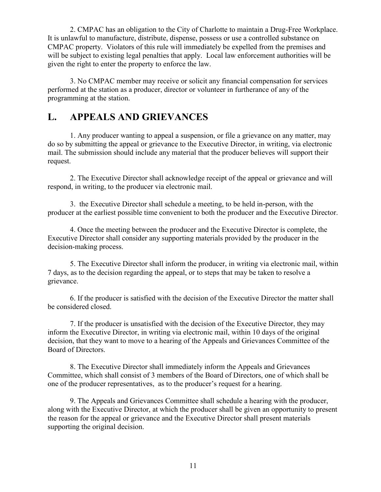2. CMPAC has an obligation to the City of Charlotte to maintain a Drug-Free Workplace. It is unlawful to manufacture, distribute, dispense, possess or use a controlled substance on CMPAC property. Violators of this rule will immediately be expelled from the premises and will be subject to existing legal penalties that apply. Local law enforcement authorities will be given the right to enter the property to enforce the law.

3. No CMPAC member may receive or solicit any financial compensation for services performed at the station as a producer, director or volunteer in furtherance of any of the programming at the station.

#### **L. APPEALS AND GRIEVANCES**

1. Any producer wanting to appeal a suspension, or file a grievance on any matter, may do so by submitting the appeal or grievance to the Executive Director, in writing, via electronic mail. The submission should include any material that the producer believes will support their request.

2. The Executive Director shall acknowledge receipt of the appeal or grievance and will respond, in writing, to the producer via electronic mail.

3. the Executive Director shall schedule a meeting, to be held in-person, with the producer at the earliest possible time convenient to both the producer and the Executive Director.

4. Once the meeting between the producer and the Executive Director is complete, the Executive Director shall consider any supporting materials provided by the producer in the decision-making process.

5. The Executive Director shall inform the producer, in writing via electronic mail, within 7 days, as to the decision regarding the appeal, or to steps that may be taken to resolve a grievance.

6. If the producer is satisfied with the decision of the Executive Director the matter shall be considered closed.

7. If the producer is unsatisfied with the decision of the Executive Director, they may inform the Executive Director, in writing via electronic mail, within 10 days of the original decision, that they want to move to a hearing of the Appeals and Grievances Committee of the Board of Directors.

8. The Executive Director shall immediately inform the Appeals and Grievances Committee, which shall consist of 3 members of the Board of Directors, one of which shall be one of the producer representatives, as to the producer's request for a hearing.

9. The Appeals and Grievances Committee shall schedule a hearing with the producer, along with the Executive Director, at which the producer shall be given an opportunity to present the reason for the appeal or grievance and the Executive Director shall present materials supporting the original decision.